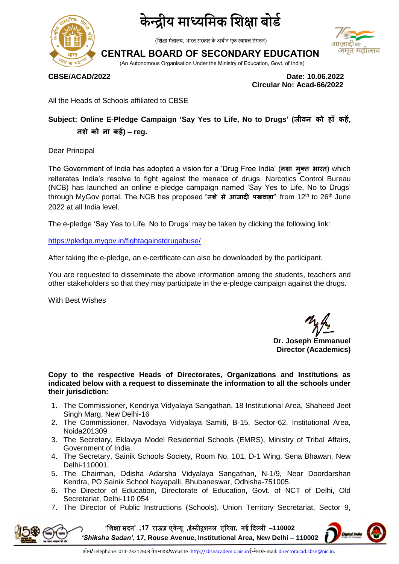

## द्रीय माध्यमिक शिक्षा बोर्ड

(शिक्षा मंत्रालय, भारत सरकार के अधीन एक स्वायत्त संगठन)

### आजादीक अमृत महोत्सव

**CENTRAL BOARD OF SECONDARY EDUCATION**

(An Autonomous Organisation Under the Ministry of Education, Govt. of India)

**CBSE/ACAD/2022 Date: 10.06.2022 Circular No: Acad-66/2022**

All the Heads of Schools affiliated to CBSE

#### **Subject: Online E-Pledge Campaign 'Say Yes to Life, No to Drugs' (जीवन को ह ाँ कहें, नशेको न कहें) – reg.**

Dear Principal

The Government of India has adopted a vision for a 'Drug Free India' (नशा मुक्त भारत) which reiterates India's resolve to fight against the menace of drugs. Narcotics Control Bureau (NCB) has launched an online e-pledge campaign named 'Say Yes to Life, No to Drugs' through MyGov portal. The NCB has proposed "नशे से आजादी पखवाड़ा" from 12<sup>th</sup> to 26<sup>th</sup> June 2022 at all India level.

The e-pledge 'Say Yes to Life, No to Drugs' may be taken by clicking the following link:

<https://pledge.mygov.in/fightagainstdrugabuse/>

After taking the e-pledge, an e-certificate can also be downloaded by the participant.

You are requested to disseminate the above information among the students, teachers and other stakeholders so that they may participate in the e-pledge campaign against the drugs.

With Best Wishes

**Dr. Joseph Emmanuel Director (Academics)**

**Copy to the respective Heads of Directorates, Organizations and Institutions as indicated below with a request to disseminate the information to all the schools under their jurisdiction:** 

- 1. The Commissioner, Kendriya Vidyalaya Sangathan, 18 Institutional Area, Shaheed Jeet Singh Marg, New Delhi-16
- 2. The Commissioner, Navodaya Vidyalaya Samiti, B-15, Sector-62, Institutional Area, Noida201309
- 3. The Secretary, Eklavya Model Residential Schools (EMRS), Ministry of Tribal Affairs, Government of India.
- 4. The Secretary, Sainik Schools Society, Room No. 101, D-1 Wing, Sena Bhawan, New Delhi-110001.
- 5. The Chairman, Odisha Adarsha Vidyalaya Sangathan, N-1/9, Near Doordarshan Kendra, PO Sainik School Nayapalli, Bhubaneswar, Odhisha-751005.
- 6. The Director of Education, Directorate of Education, Govt. of NCT of Delhi, Old Secretariat, Delhi-110 054
- 7. The Director of Public Instructions (Schools), Union Territory Secretariat, Sector 9,

**'**शिक्षा सदन**' ,71** राऊज़ एवेन्यू **,**इंस्टीटूिनम एररया**,** नई ददल्मी –**110002**  *'Shiksha Sadan'***, 17, Rouse Avenue, Institutional Area, New Delhi – 110002**